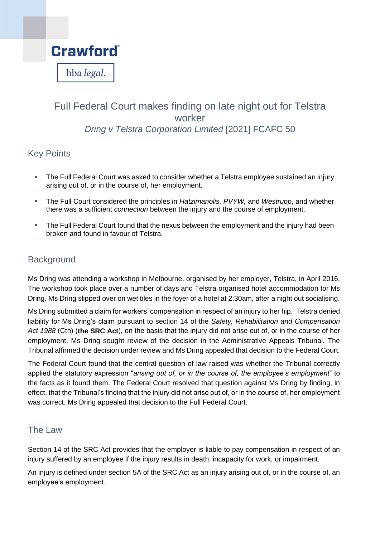

# Full Federal Court makes finding on late night out for Telstra worker *Dring v Telstra Corporation Limited* [2021] FCAFC 50

### Key Points

- The Full Federal Court was asked to consider whether a Telstra employee sustained an injury arising out of, or in the course of, her employment.
- The Full Court considered the principles in *Hatzimanolis, PVYW,* and *Westrupp*, and whether there was a sufficient *connection* between the injury and the course of employment.
- The Full Federal Court found that the nexus between the employment and the injury had been broken and found in favour of Telstra.

### **Background**

Ms Dring was attending a workshop in Melbourne, organised by her employer, Telstra, in April 2016. The workshop took place over a number of days and Telstra organised hotel accommodation for Ms Dring. Ms Dring slipped over on wet tiles in the foyer of a hotel at 2:30am, after a night out socialising.

Ms Dring submitted a claim for workers' compensation in respect of an injury to her hip. Telstra denied liability for Ms Dring's claim pursuant to section 14 of the *Safety, Rehabilitation and Compensation Act 1988* (Cth) (**the SRC Act**), on the basis that the injury did not arise out of, or in the course of her employment. Ms Dring sought review of the decision in the Administrative Appeals Tribunal. The Tribunal affirmed the decision under review and Ms Dring appealed that decision to the Federal Court.

The Federal Court found that the central question of law raised was whether the Tribunal correctly applied the statutory expression "*arising out of, or in the course of, the employee's employment*" to the facts as it found them. The Federal Court resolved that question against Ms Dring by finding, in effect, that the Tribunal's finding that the injury did not arise out of, or in the course of, her employment was correct. Ms Dring appealed that decision to the Full Federal Court.

#### The Law

Section 14 of the SRC Act provides that the employer is liable to pay compensation in respect of an injury suffered by an employee if the injury results in death, incapacity for work, or impairment.

An injury is defined under section 5A of the SRC Act as an injury arising out of, or in the course of, an employee's employment.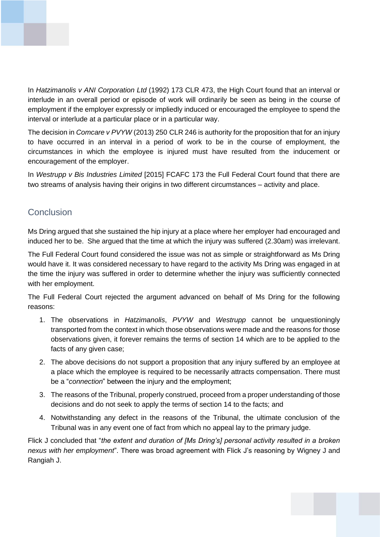

In *Hatzimanolis v ANI Corporation Ltd* (1992) 173 CLR 473, the High Court found that an interval or interlude in an overall period or episode of work will ordinarily be seen as being in the course of employment if the employer expressly or impliedly induced or encouraged the employee to spend the interval or interlude at a particular place or in a particular way.

The decision in *Comcare v PVYW* (2013) 250 CLR 246 is authority for the proposition that for an injury to have occurred in an interval in a period of work to be in the course of employment, the circumstances in which the employee is injured must have resulted from the inducement or encouragement of the employer.

In *Westrupp v Bis Industries Limited* [2015] FCAFC 173 the Full Federal Court found that there are two streams of analysis having their origins in two different circumstances – activity and place.

## **Conclusion**

Ms Dring argued that she sustained the hip injury at a place where her employer had encouraged and induced her to be. She argued that the time at which the injury was suffered (2.30am) was irrelevant.

The Full Federal Court found considered the issue was not as simple or straightforward as Ms Dring would have it. It was considered necessary to have regard to the activity Ms Dring was engaged in at the time the injury was suffered in order to determine whether the injury was sufficiently connected with her employment.

The Full Federal Court rejected the argument advanced on behalf of Ms Dring for the following reasons:

- 1. The observations in *Hatzimanolis*, *PVYW* and *Westrupp* cannot be unquestioningly transported from the context in which those observations were made and the reasons for those observations given, it forever remains the terms of section 14 which are to be applied to the facts of any given case;
- 2. The above decisions do not support a proposition that any injury suffered by an employee at a place which the employee is required to be necessarily attracts compensation. There must be a "*connection*" between the injury and the employment;
- 3. The reasons of the Tribunal, properly construed, proceed from a proper understanding of those decisions and do not seek to apply the terms of section 14 to the facts; and
- 4. Notwithstanding any defect in the reasons of the Tribunal, the ultimate conclusion of the Tribunal was in any event one of fact from which no appeal lay to the primary judge.

Flick J concluded that "*the extent and duration of [Ms Dring's] personal activity resulted in a broken nexus with her employment*". There was broad agreement with Flick J's reasoning by Wigney J and Rangiah J.